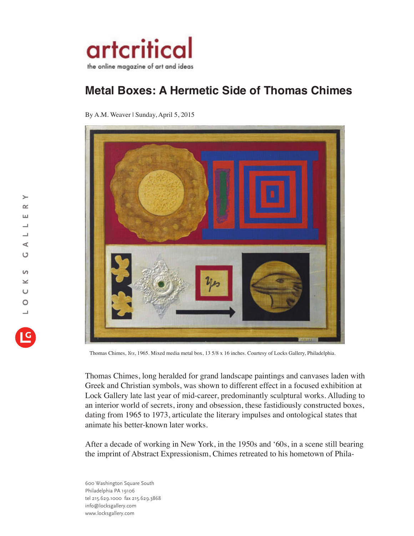

## **Metal Boxes: A Hermetic Side of Thomas Chimes**

By A.M. Weaver | Sunday, April 5, 2015



Thomas Chimes, *Yes*, 1965. Mixed media metal box, 13 5/8 x 16 inches. Courtesy of Locks Gallery, Philadelphia.

Thomas Chimes, long heralded for grand landscape paintings and canvases laden with Greek and Christian symbols, was shown to different effect in a focused exhibition at Lock Gallery late last year of mid-career, predominantly sculptural works. Alluding to an interior world of secrets, irony and obsession, these fastidiously constructed boxes, dating from 1965 to 1973, articulate the literary impulses and ontological states that animate his better-known later works.

After a decade of working in New York, in the 1950s and '60s, in a scene still bearing the imprint of Abstract Expressionism, Chimes retreated to his hometown of Phila-

600 Washington Square South Philadelphia PA 19106 tel 215.629.1000 fax 215.629.3868 info@locksgallery.com www.locksgallery.com

 $\rightarrow$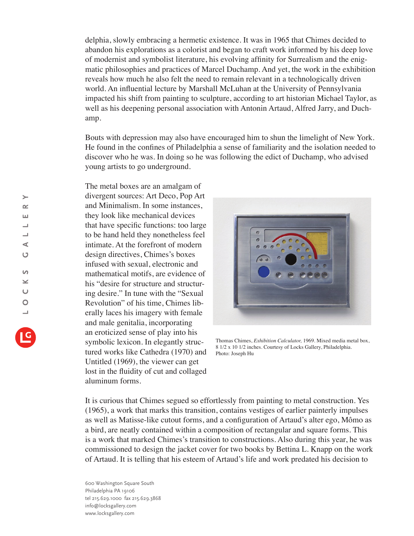delphia, slowly embracing a hermetic existence. It was in 1965 that Chimes decided to abandon his explorations as a colorist and began to craft work informed by his deep love of modernist and symbolist literature, his evolving affinity for Surrealism and the enigmatic philosophies and practices of Marcel Duchamp. And yet, the work in the exhibition reveals how much he also felt the need to remain relevant in a technologically driven world. An influential lecture by Marshall McLuhan at the University of Pennsylvania impacted his shift from painting to sculpture, according to art historian Michael Taylor, as well as his deepening personal association with Antonin Artaud, Alfred Jarry, and Duchamp.

Bouts with depression may also have encouraged him to shun the limelight of New York. He found in the confines of Philadelphia a sense of familiarity and the isolation needed to discover who he was. In doing so he was following the edict of Duchamp, who advised young artists to go underground.

The metal boxes are an amalgam of divergent sources: Art Deco, Pop Art and Minimalism. In some instances, they look like mechanical devices that have specific functions: too large to be hand held they nonetheless feel intimate. At the forefront of modern design directives, Chimes's boxes infused with sexual, electronic and mathematical motifs, are evidence of his "desire for structure and structuring desire." In tune with the "Sexual Revolution" of his time, Chimes liberally laces his imagery with female and male genitalia, incorporating an eroticized sense of play into his symbolic lexicon. In elegantly structured works like Cathedra (1970) and Untitled (1969), the viewer can get lost in the fluidity of cut and collaged aluminum forms.



Thomas Chimes, *Exhibition Calculator,* 1969. Mixed media metal box, 8 1/2 x 10 1/2 inches. Courtesy of Locks Gallery, Philadelphia. Photo: Joseph Hu

It is curious that Chimes segued so effortlessly from painting to metal construction. Yes (1965), a work that marks this transition, contains vestiges of earlier painterly impulses as well as Matisse-like cutout forms, and a configuration of Artaud's alter ego, Mômo as a bird, are neatly contained within a composition of rectangular and square forms. This is a work that marked Chimes's transition to constructions. Also during this year, he was commissioned to design the jacket cover for two books by Bettina L. Knapp on the work of Artaud. It is telling that his esteem of Artaud's life and work predated his decision to

600 Washington Square South Philadelphia PA 19106 tel 215.629.1000 fax 215.629.3868 info@locksgallery.com www.locksgallery.com

 $\rightarrow$